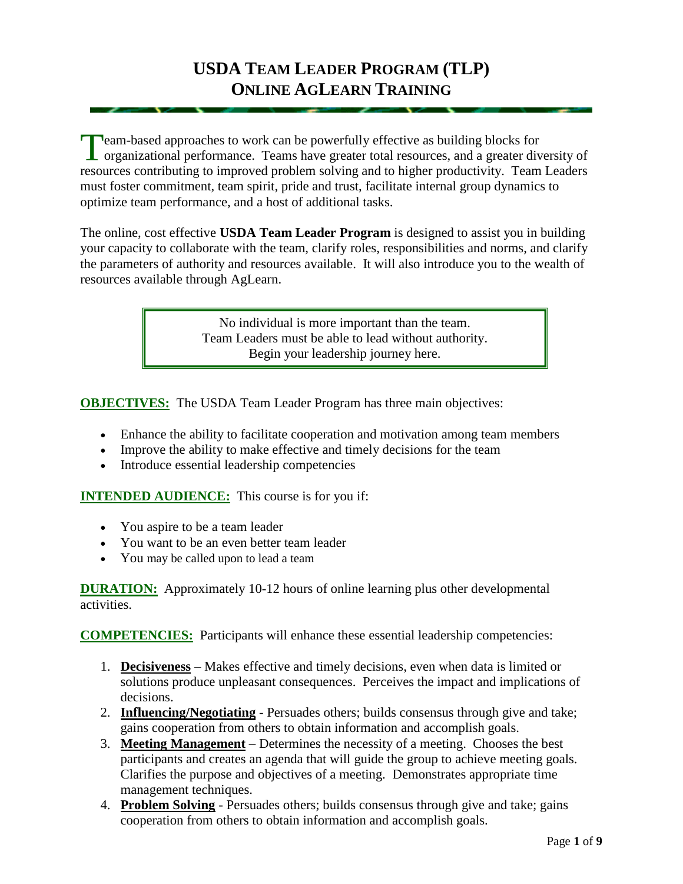eam-based approaches to work can be powerfully effective as building blocks for Team-based approaches to work can be powerfully effective as building blocks for organizational performance. Teams have greater total resources, and a greater diversity of resources contributing to improved problem solving and to higher productivity. Team Leaders must foster commitment, team spirit, pride and trust, facilitate internal group dynamics to optimize team performance, and a host of additional tasks.

The online, cost effective **USDA Team Leader Program** is designed to assist you in building your capacity to collaborate with the team, clarify roles, responsibilities and norms, and clarify the parameters of authority and resources available. It will also introduce you to the wealth of resources available through AgLearn.

> No individual is more important than the team. Team Leaders must be able to lead without authority. Begin your leadership journey here.

**OBJECTIVES:** The USDA Team Leader Program has three main objectives:

- Enhance the ability to facilitate cooperation and motivation among team members
- Improve the ability to make effective and timely decisions for the team
- Introduce essential leadership competencies

**INTENDED AUDIENCE:** This course is for you if:

- You aspire to be a team leader
- You want to be an even better team leader
- You may be called upon to lead a team

**DURATION:** Approximately 10-12 hours of online learning plus other developmental activities.

**COMPETENCIES:** Participants will enhance these essential leadership competencies:

- 1. **Decisiveness** Makes effective and timely decisions, even when data is limited or solutions produce unpleasant consequences. Perceives the impact and implications of decisions.
- 2. **Influencing/Negotiating** Persuades others; builds consensus through give and take; gains cooperation from others to obtain information and accomplish goals.
- 3. **Meeting Management** Determines the necessity of a meeting. Chooses the best participants and creates an agenda that will guide the group to achieve meeting goals. Clarifies the purpose and objectives of a meeting. Demonstrates appropriate time management techniques.
- 4. **Problem Solving** Persuades others; builds consensus through give and take; gains cooperation from others to obtain information and accomplish goals.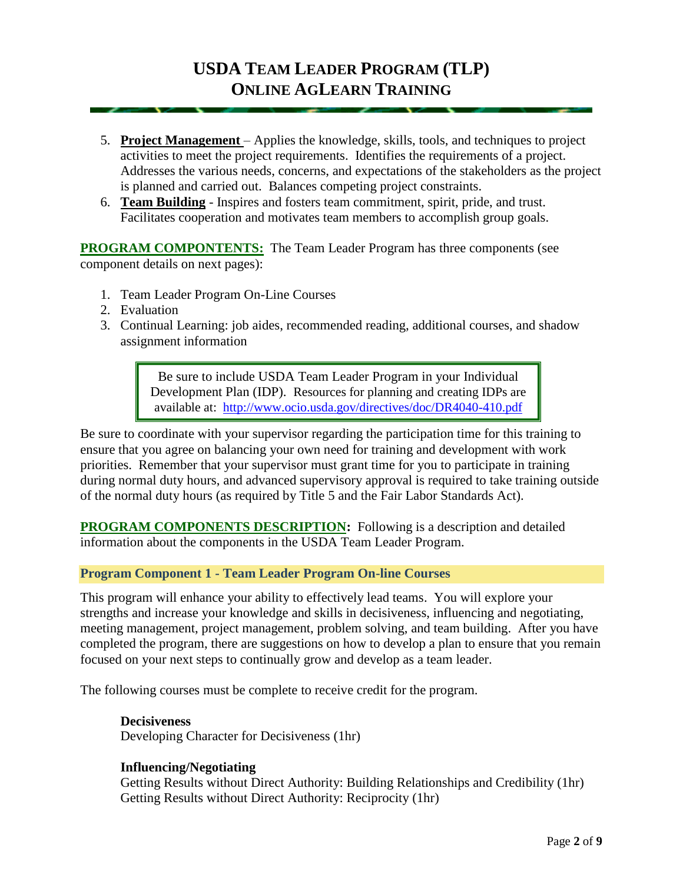- 5. **Project Management**  Applies the knowledge, skills, tools, and techniques to project activities to meet the project requirements. Identifies the requirements of a project. Addresses the various needs, concerns, and expectations of the stakeholders as the project is planned and carried out. Balances competing project constraints.
- 6. **Team Building** Inspires and fosters team commitment, spirit, pride, and trust. Facilitates cooperation and motivates team members to accomplish group goals.

**PROGRAM COMPONTENTS:** The Team Leader Program has three components (see component details on next pages):

- 1. Team Leader Program On-Line Courses
- 2. Evaluation
- 3. Continual Learning: job aides, recommended reading, additional courses, and shadow assignment information

Be sure to include USDA Team Leader Program in your Individual Development Plan (IDP). Resources for planning and creating IDPs are available at: <http://www.ocio.usda.gov/directives/doc/DR4040-410.pdf>

Be sure to coordinate with your supervisor regarding the participation time for this training to ensure that you agree on balancing your own need for training and development with work priorities. Remember that your supervisor must grant time for you to participate in training during normal duty hours, and advanced supervisory approval is required to take training outside of the normal duty hours (as required by Title 5 and the Fair Labor Standards Act).

**PROGRAM COMPONENTS DESCRIPTION:** Following is a description and detailed information about the components in the USDA Team Leader Program.

#### **Program Component 1 - Team Leader Program On-line Courses**

This program will enhance your ability to effectively lead teams. You will explore your strengths and increase your knowledge and skills in decisiveness, influencing and negotiating, meeting management, project management, problem solving, and team building. After you have completed the program, there are suggestions on how to develop a plan to ensure that you remain focused on your next steps to continually grow and develop as a team leader.

The following courses must be complete to receive credit for the program.

**Decisiveness** Developing Character for Decisiveness (1hr)

#### **Influencing/Negotiating**

Getting Results without Direct Authority: Building Relationships and Credibility (1hr) Getting Results without Direct Authority: Reciprocity (1hr)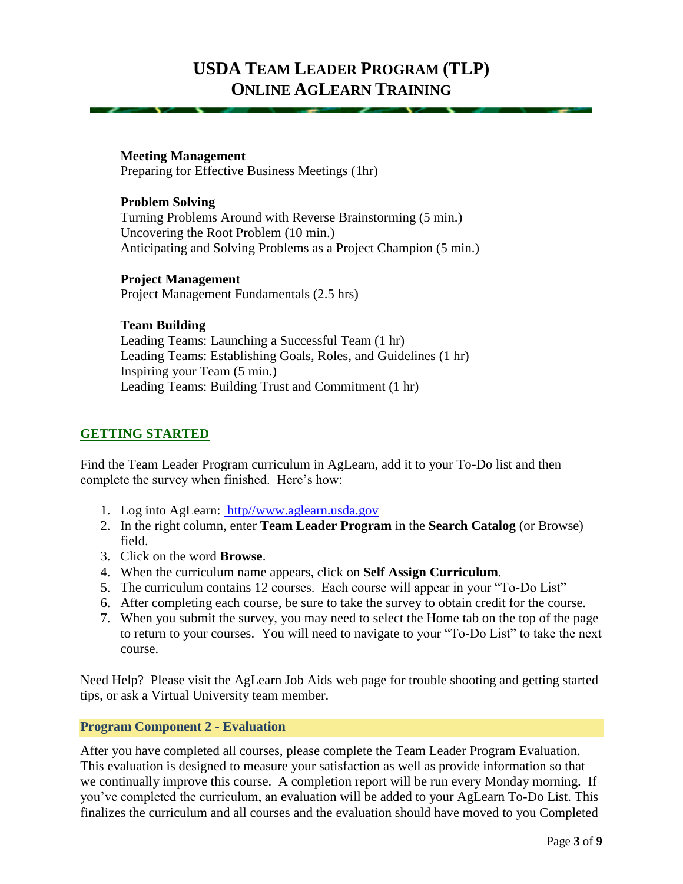#### **Meeting Management** Preparing for Effective Business Meetings (1hr)

**Problem Solving** Turning Problems Around with Reverse Brainstorming (5 min.) Uncovering the Root Problem (10 min.) Anticipating and Solving Problems as a Project Champion (5 min.)

**Project Management** Project Management Fundamentals (2.5 hrs)

### **Team Building**

Leading Teams: Launching a Successful Team (1 hr) Leading Teams: Establishing Goals, Roles, and Guidelines (1 hr) Inspiring your Team (5 min.) Leading Teams: Building Trust and Commitment (1 hr)

## **GETTING STARTED**

Find the Team Leader Program curriculum in AgLearn, add it to your To-Do list and then complete the survey when finished. Here's how:

- 1. Log into AgLearn: [http//www.aglearn.usda.gov](http://www.aglearn.usda.gov/)
- 2. In the right column, enter **Team Leader Program** in the **Search Catalog** (or Browse) field.
- 3. Click on the word **Browse**.
- 4. When the curriculum name appears, click on **Self Assign Curriculum**.
- 5. The curriculum contains 12 courses. Each course will appear in your "To-Do List"
- 6. After completing each course, be sure to take the survey to obtain credit for the course.
- 7. When you submit the survey, you may need to select the Home tab on the top of the page to return to your courses. You will need to navigate to your "To-Do List" to take the next course.

Need Help? Please visit the [AgLearn Job Aids](http://fsweb.asc.fs.fed.us/HRM/training/support.php) web page for trouble shooting and getting started tips, or ask a Virtual University team member.

### **Program Component 2 - Evaluation**

After you have completed all courses, please complete the Team Leader Program Evaluation. This evaluation is designed to measure your satisfaction as well as provide information so that we continually improve this course. A completion report will be run every Monday morning. If you've completed the curriculum, an evaluation will be added to your AgLearn To-Do List. This finalizes the curriculum and all courses and the evaluation should have moved to you Completed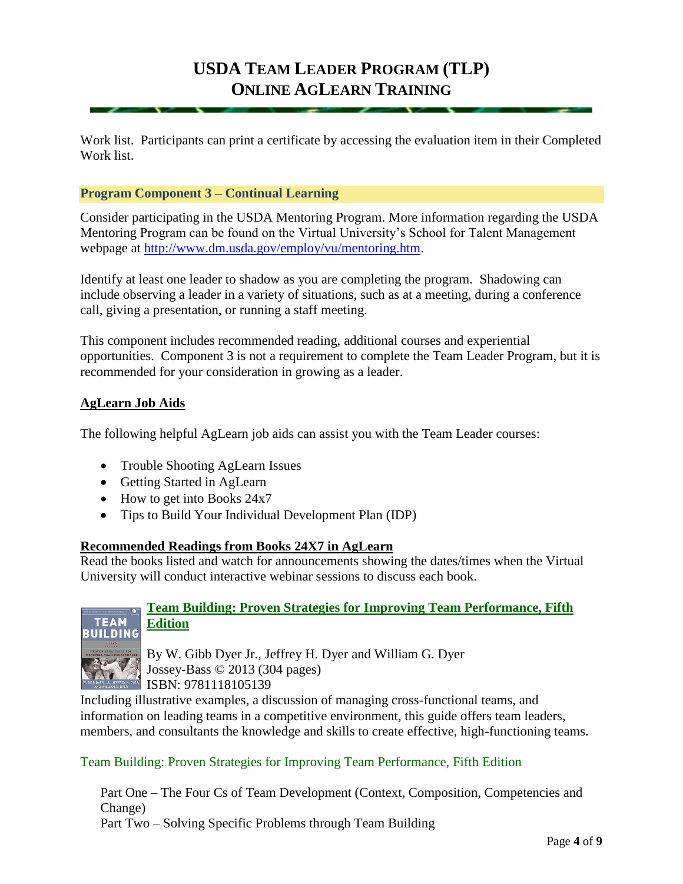Work list. Participants can print a certificate by accessing the evaluation item in their Completed Work list.

### **Program Component 3 – Continual Learning**

Consider participating in the USDA Mentoring Program. More information regarding the USDA Mentoring Program can be found on the Virtual University's School for Talent Management webpage at [http://www.dm.usda.gov/employ/vu/mentoring.htm.](http://www.dm.usda.gov/employ/vu/mentoring.htm)

Identify at least one leader to shadow as you are completing the program. Shadowing can include observing a leader in a variety of situations, such as at a meeting, during a conference call, giving a presentation, or running a staff meeting.

This component includes recommended reading, additional courses and experiential opportunities. Component 3 is not a requirement to complete the Team Leader Program, but it is recommended for your consideration in growing as a leader.

### **[AgLearn Job Aids](http://fsweb.asc.fs.fed.us/HRM/training/support.php)**

The following helpful AgLearn job aids can assist you with the Team Leader courses:

- Trouble Shooting AgLearn Issues
- Getting Started in AgLearn
- How to get into Books 24x7
- Tips to Build Your Individual Development Plan (IDP)

#### **[Recommended](http://fsweb.asc.fs.fed.us/HRM/training/support.php) Readings from Books 24X7 in AgLearn**

Read the books listed and watch for announcements showing the dates/times when the Virtual University will conduct interactive webinar sessions to discuss each book.



## **Team Building: Proven Strategies for Improving Team Performance, Fifth Edition**

By W. Gibb Dyer Jr., Jeffrey H. Dyer and William G. Dyer Jossey-Bass © 2013 (304 pages) ISBN: 9781118105139

Including illustrative examples, a discussion of managing cross-functional teams, and information on leading teams in a competitive environment, this guide offers team leaders, members, and consultants the knowledge and skills to create effective, high-functioning teams.

### Team Building: Proven Strategies for Improving Team Performance, Fifth Edition

Part One – The Four Cs of Team Development (Context, Composition, Competencies and Change) Part Two – Solving Specific Problems through Team Building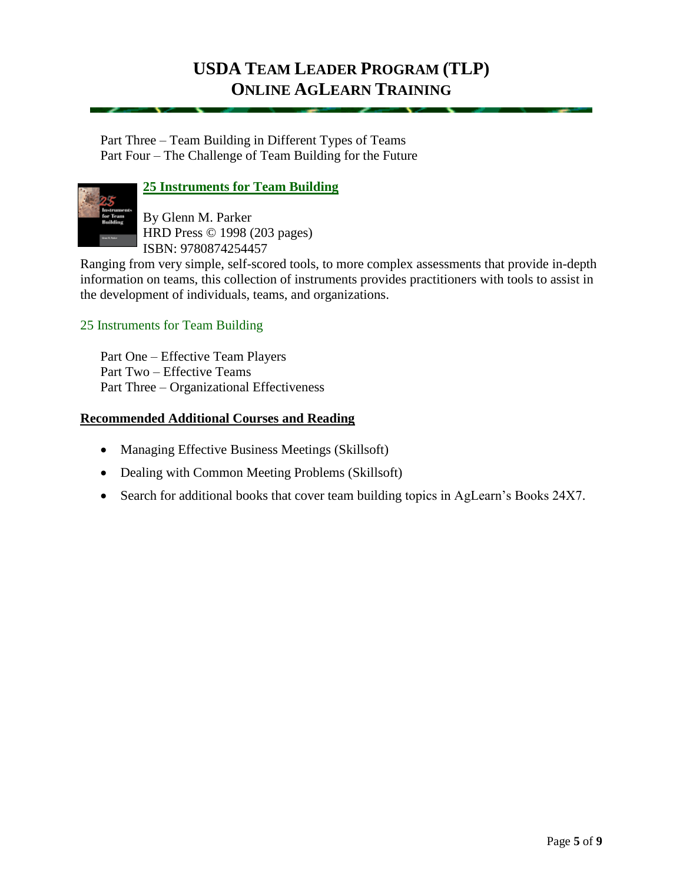Part Three – Team Building in Different Types of Teams Part Four – The Challenge of Team Building for the Future



**25 Instruments for Team Building**

By Glenn M. Parker HRD Press © 1998 (203 pages) ISBN: 9780874254457

Ranging from very simple, self-scored tools, to more complex assessments that provide in-depth information on teams, this collection of instruments provides practitioners with tools to assist in the development of individuals, teams, and organizations.

## 25 Instruments for Team Building

Part One – Effective Team Players Part Two – Effective Teams Part Three – Organizational Effectiveness

## **[Recommended](http://fsweb.asc.fs.fed.us/HRM/training/support.php) Additional Courses and Reading**

- Managing Effective Business Meetings (Skillsoft)
- Dealing with Common Meeting Problems (Skillsoft)
- Search for additional books that cover team building topics in AgLearn's Books 24X7.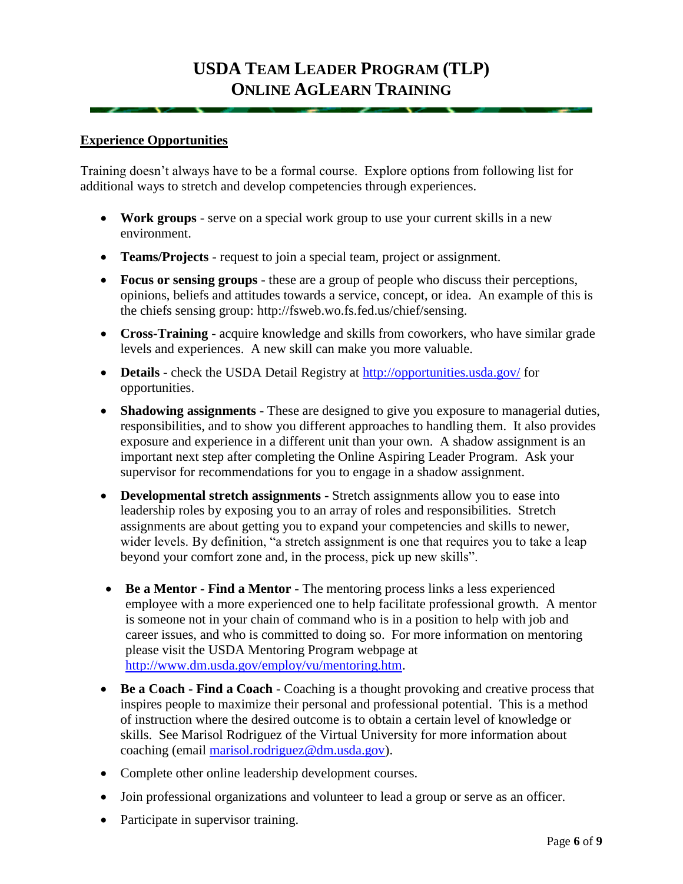#### **Experience Opportunities**

Training doesn't always have to be a formal course. Explore options from following list for additional ways to stretch and develop competencies through experiences.

- **Work groups** serve on a special work group to use your current skills in a new environment.
- **Teams/Projects** request to join a special team, project or assignment.
- **Focus or sensing groups** these are a group of people who discuss their perceptions, opinions, beliefs and attitudes towards a service, concept, or idea. An example of this is the chiefs sensing group: [http://fsweb.wo.fs.fed.us/chief/sensing.](http://fsweb.wo.fs.fed.us/chief/sensing/)
- **Cross-Training** acquire knowledge and skills from coworkers, who have similar grade levels and experiences. A new skill can make you more valuable.
- **Details** check the USDA Detail Registry at<http://opportunities.usda.gov/> for opportunities.
- **Shadowing assignments** These are designed to give you exposure to managerial duties, responsibilities, and to show you different approaches to handling them. It also provides exposure and experience in a different unit than your own. A shadow assignment is an important next step after completing the Online Aspiring Leader Program. Ask your supervisor for recommendations for you to engage in a shadow assignment.
- **Developmental stretch assignments** Stretch assignments allow you to ease into leadership roles by exposing you to an array of roles and responsibilities. Stretch assignments are about getting you to expand your competencies and skills to newer, wider levels. By definition, "a stretch assignment is one that requires you to take a leap beyond your comfort zone and, in the process, pick up new skills".
- **Be a Mentor - Find a Mentor** The mentoring process links a less experienced employee with a more experienced one to help facilitate professional growth. A mentor is someone not in your chain of command who is in a position to help with job and career issues, and who is committed to doing so. For more information on mentoring please visit the USDA Mentoring Program webpage at [http://www.dm.usda.gov/employ/vu/mentoring.htm.](http://www.dm.usda.gov/employ/vu/mentoring.htm)
- **Be a Coach - Find a Coach** Coaching is a thought provoking and creative process that inspires people to maximize their personal and professional potential. This is a method of instruction where the desired outcome is to obtain a certain level of knowledge or skills. See Marisol Rodriguez of the Virtual University for more information about coaching (email [marisol.rodriguez@dm.usda.gov\)](mailto:marisol.rodriguez@dm.usda.gov).
- Complete other online leadership development courses.
- Join professional organizations and volunteer to lead a group or serve as an officer.
- Participate in supervisor training.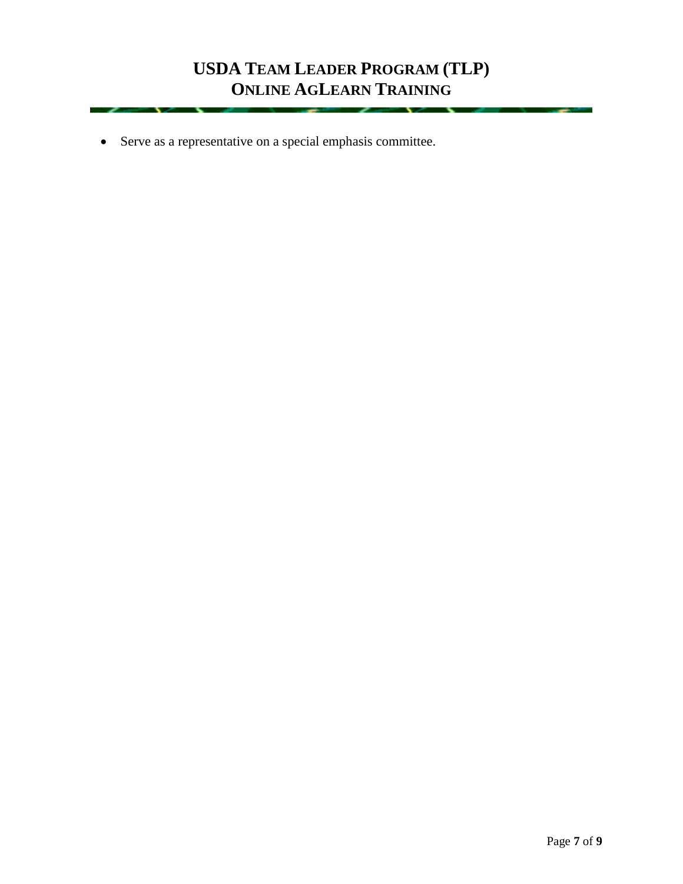Serve as a representative on a special emphasis committee.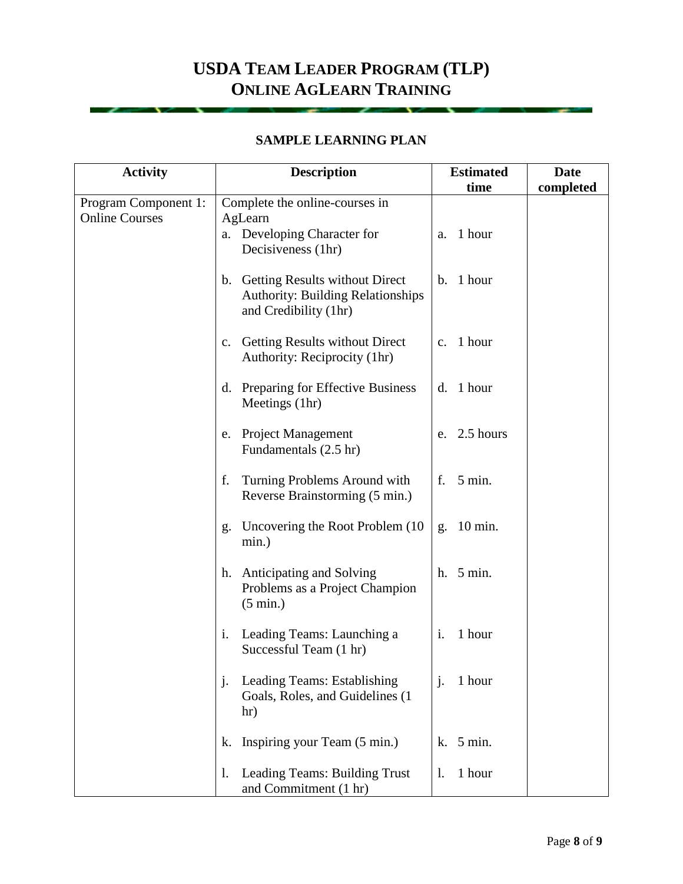### **SAMPLE LEARNING PLAN**

| <b>Activity</b>                               | <b>Description</b>                                                                                     | <b>Estimated</b>        | <b>Date</b> |
|-----------------------------------------------|--------------------------------------------------------------------------------------------------------|-------------------------|-------------|
|                                               |                                                                                                        | time                    | completed   |
| Program Component 1:<br><b>Online Courses</b> | Complete the online-courses in<br>AgLearn                                                              | 1 hour                  |             |
|                                               | a. Developing Character for<br>Decisiveness (1hr)                                                      | a.                      |             |
|                                               | b. Getting Results without Direct<br><b>Authority: Building Relationships</b><br>and Credibility (1hr) | b. 1 hour               |             |
|                                               | Getting Results without Direct<br>$c_{\cdot}$<br>Authority: Reciprocity (1hr)                          | 1 hour<br>$C_{\bullet}$ |             |
|                                               | d. Preparing for Effective Business<br>Meetings (1hr)                                                  | 1 hour<br>d.            |             |
|                                               | e. Project Management<br>Fundamentals (2.5 hr)                                                         | 2.5 hours<br>e.         |             |
|                                               | f.<br>Turning Problems Around with<br>Reverse Brainstorming (5 min.)                                   | f.<br>5 min.            |             |
|                                               | Uncovering the Root Problem (10)<br>g.<br>min.)                                                        | $10 \text{ min.}$<br>g. |             |
|                                               | h. Anticipating and Solving<br>Problems as a Project Champion<br>$(5 \text{ min.})$                    | h. 5 min.               |             |
|                                               | Leading Teams: Launching a<br>i.<br>Successful Team (1 hr)                                             | i.<br>1 hour            |             |
|                                               | Leading Teams: Establishing<br>$\mathbf{J}$<br>Goals, Roles, and Guidelines (1<br>hr)                  | 1 hour<br>j.            |             |
|                                               | Inspiring your Team (5 min.)<br>k.                                                                     | $k.$ 5 min.             |             |
|                                               | Leading Teams: Building Trust<br>1.<br>and Commitment (1 hr)                                           | 1 hour<br>1.            |             |